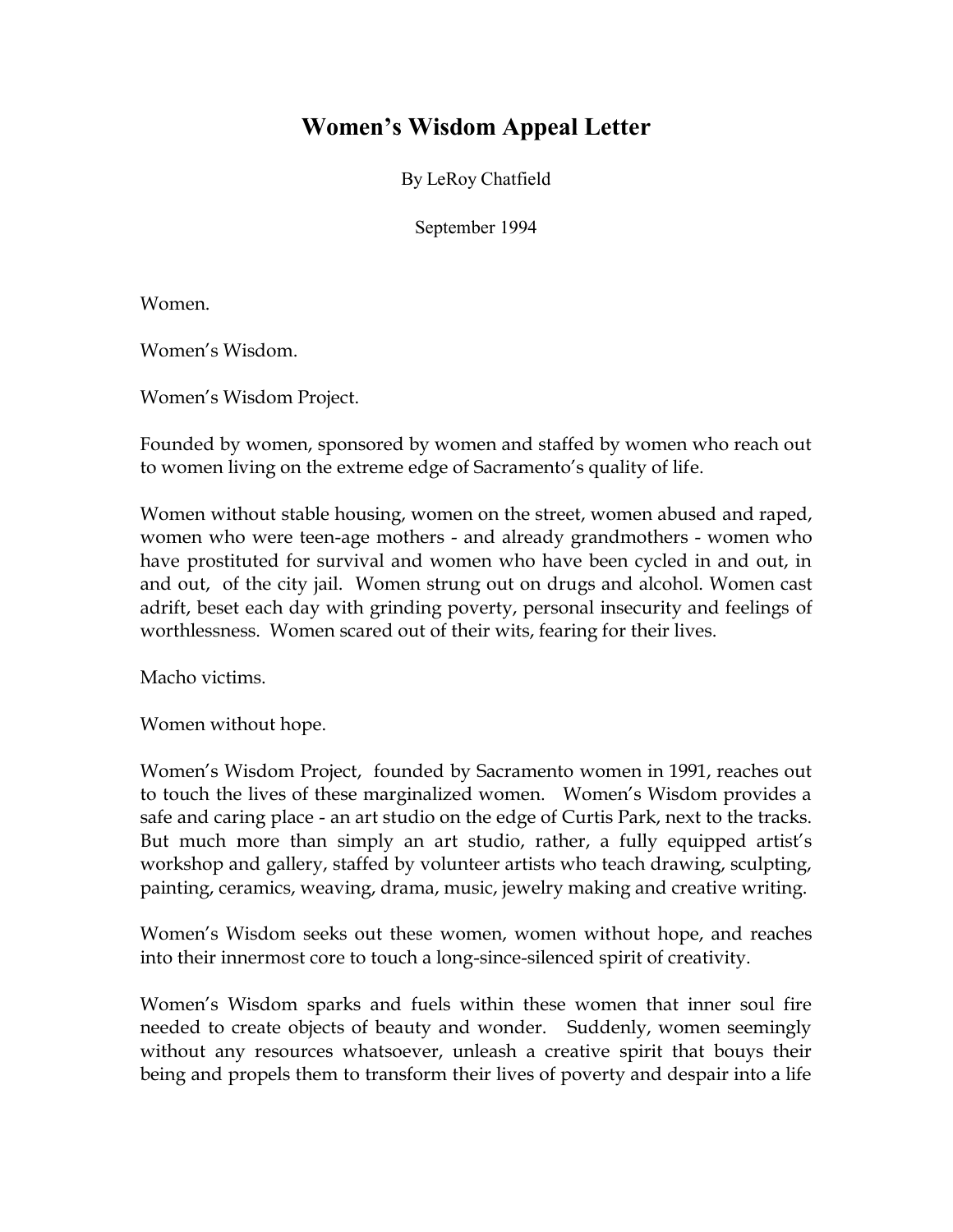## **Women's Wisdom Appeal Letter**

By LeRoy Chatfield

September 1994

Women.

Women's Wisdom.

Women's Wisdom Project.

Founded by women, sponsored by women and staffed by women who reach out to women living on the extreme edge of Sacramento's quality of life.

Women without stable housing, women on the street, women abused and raped, women who were teen-age mothers - and already grandmothers - women who have prostituted for survival and women who have been cycled in and out, in and out, of the city jail. Women strung out on drugs and alcohol. Women cast adrift, beset each day with grinding poverty, personal insecurity and feelings of worthlessness. Women scared out of their wits, fearing for their lives.

Macho victims.

Women without hope.

Women's Wisdom Project, founded by Sacramento women in 1991, reaches out to touch the lives of these marginalized women. Women's Wisdom provides a safe and caring place - an art studio on the edge of Curtis Park, next to the tracks. But much more than simply an art studio, rather, a fully equipped artist's workshop and gallery, staffed by volunteer artists who teach drawing, sculpting, painting, ceramics, weaving, drama, music, jewelry making and creative writing.

Women's Wisdom seeks out these women, women without hope, and reaches into their innermost core to touch a long-since-silenced spirit of creativity.

Women's Wisdom sparks and fuels within these women that inner soul fire needed to create objects of beauty and wonder. Suddenly, women seemingly without any resources whatsoever, unleash a creative spirit that bouys their being and propels them to transform their lives of poverty and despair into a life